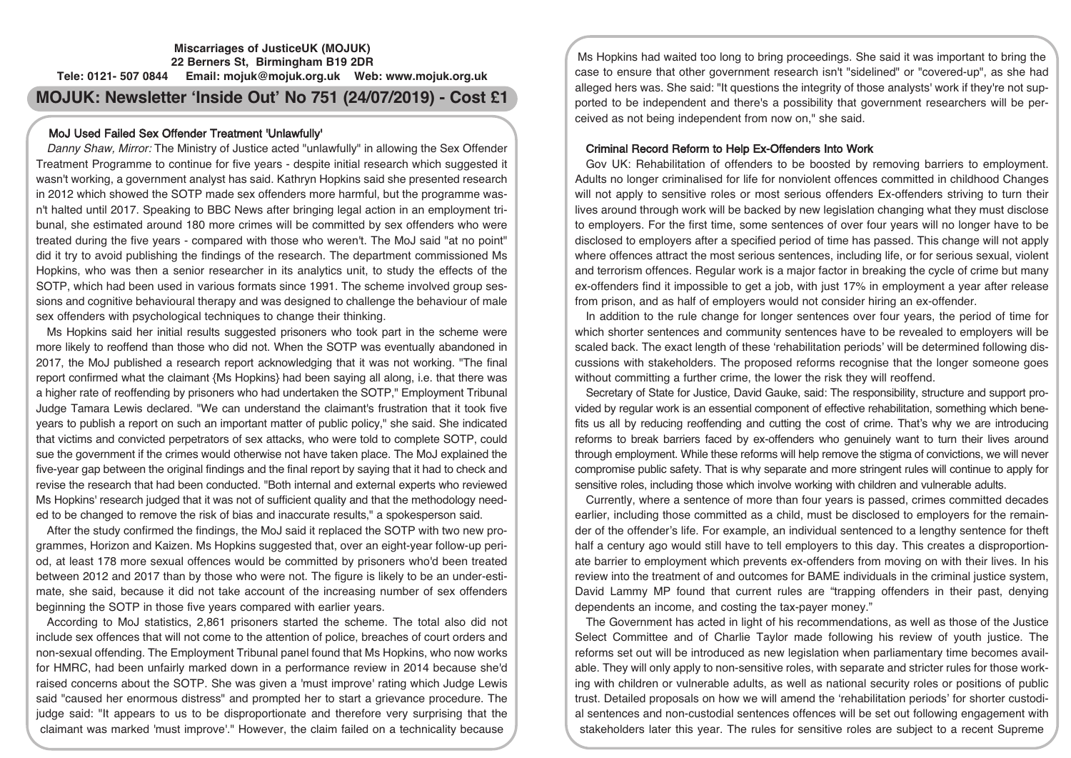# **Miscarriages of JusticeUK (MOJUK) 22 Berners St, Birmingham B19 2DR Tele: 0121- 507 0844 Email: mojuk@mojuk.org.uk Web: www.mojuk.org.uk MOJUK: Newsletter 'Inside Out' No 751 (24/07/2019) - Cost £1**

# MoJ Used Failed Sex Offender Treatment 'Unlawfully'

Danny Shaw, Mirror: The Ministry of Justice acted "unlawfully" in allowing the Sex Offender Treatment Programme to continue for five years - despite initial research which suggested it wasn't working, a government analyst has said. Kathryn Hopkins said she presented research in 2012 which showed the SOTP made sex offenders more harmful, but the programme wasn't halted until 2017. Speaking to BBC News after bringing legal action in an employment tribunal, she estimated around 180 more crimes will be committed by sex offenders who were treated during the five years - compared with those who weren't. The MoJ said "at no point" did it try to avoid publishing the findings of the research. The department commissioned Ms Hopkins, who was then a senior researcher in its analytics unit, to study the effects of the SOTP, which had been used in various formats since 1991. The scheme involved group sessions and cognitive behavioural therapy and was designed to challenge the behaviour of male sex offenders with psychological techniques to change their thinking.

Ms Hopkins said her initial results suggested prisoners who took part in the scheme were more likely to reoffend than those who did not. When the SOTP was eventually abandoned in 2017, the MoJ published a research report acknowledging that it was not working. "The final report confirmed what the claimant {Ms Hopkins} had been saying all along, i.e. that there was a higher rate of reoffending by prisoners who had undertaken the SOTP," Employment Tribunal Judge Tamara Lewis declared. "We can understand the claimant's frustration that it took five years to publish a report on such an important matter of public policy," she said. She indicated that victims and convicted perpetrators of sex attacks, who were told to complete SOTP, could sue the government if the crimes would otherwise not have taken place. The MoJ explained the five-year gap between the original findings and the final report by saying that it had to check and revise the research that had been conducted. "Both internal and external experts who reviewed Ms Hopkins' research judged that it was not of sufficient quality and that the methodology needed to be changed to remove the risk of bias and inaccurate results," a spokesperson said.

After the study confirmed the findings, the MoJ said it replaced the SOTP with two new programmes, Horizon and Kaizen. Ms Hopkins suggested that, over an eight-year follow-up period, at least 178 more sexual offences would be committed by prisoners who'd been treated between 2012 and 2017 than by those who were not. The figure is likely to be an under-estimate, she said, because it did not take account of the increasing number of sex offenders beginning the SOTP in those five years compared with earlier years.

According to MoJ statistics, 2,861 prisoners started the scheme. The total also did not include sex offences that will not come to the attention of police, breaches of court orders and non-sexual offending. The Employment Tribunal panel found that Ms Hopkins, who now works for HMRC, had been unfairly marked down in a performance review in 2014 because she'd raised concerns about the SOTP. She was given a 'must improve' rating which Judge Lewis said "caused her enormous distress" and prompted her to start a grievance procedure. The judge said: "It appears to us to be disproportionate and therefore very surprising that the claimant was marked 'must improve'." However, the claim failed on a technicality because

Ms Hopkins had waited too long to bring proceedings. She said it was important to bring the case to ensure that other government research isn't "sidelined" or "covered-up", as she had alleged hers was. She said: "It questions the integrity of those analysts' work if they're not supported to be independent and there's a possibility that government researchers will be perceived as not being independent from now on," she said.

### Criminal Record Reform to Help Ex-Offenders Into Work

Gov UK: Rehabilitation of offenders to be boosted by removing barriers to employment. Adults no longer criminalised for life for nonviolent offences committed in childhood Changes will not apply to sensitive roles or most serious offenders Ex-offenders striving to turn their lives around through work will be backed by new legislation changing what they must disclose to employers. For the first time, some sentences of over four years will no longer have to be disclosed to employers after a specified period of time has passed. This change will not apply where offences attract the most serious sentences, including life, or for serious sexual, violent and terrorism offences. Regular work is a major factor in breaking the cycle of crime but many ex-offenders find it impossible to get a job, with just 17% in employment a year after release from prison, and as half of employers would not consider hiring an ex-offender.

In addition to the rule change for longer sentences over four years, the period of time for which shorter sentences and community sentences have to be revealed to employers will be scaled back. The exact length of these 'rehabilitation periods' will be determined following discussions with stakeholders. The proposed reforms recognise that the longer someone goes without committing a further crime, the lower the risk they will reoffend.

Secretary of State for Justice, David Gauke, said: The responsibility, structure and support provided by regular work is an essential component of effective rehabilitation, something which benefits us all by reducing reoffending and cutting the cost of crime. That's why we are introducing reforms to break barriers faced by ex-offenders who genuinely want to turn their lives around through employment. While these reforms will help remove the stigma of convictions, we will never compromise public safety. That is why separate and more stringent rules will continue to apply for sensitive roles, including those which involve working with children and vulnerable adults.

Currently, where a sentence of more than four years is passed, crimes committed decades earlier, including those committed as a child, must be disclosed to employers for the remainder of the offender's life. For example, an individual sentenced to a lengthy sentence for theft half a century ago would still have to tell employers to this day. This creates a disproportionate barrier to employment which prevents ex-offenders from moving on with their lives. In his review into the treatment of and outcomes for BAME individuals in the criminal justice system, David Lammy MP found that current rules are "trapping offenders in their past, denying dependents an income, and costing the tax-payer money."

The Government has acted in light of his recommendations, as well as those of the Justice Select Committee and of Charlie Taylor made following his review of youth justice. The reforms set out will be introduced as new legislation when parliamentary time becomes available. They will only apply to non-sensitive roles, with separate and stricter rules for those working with children or vulnerable adults, as well as national security roles or positions of public trust. Detailed proposals on how we will amend the 'rehabilitation periods' for shorter custodial sentences and non-custodial sentences offences will be set out following engagement with stakeholders later this year. The rules for sensitive roles are subject to a recent Supreme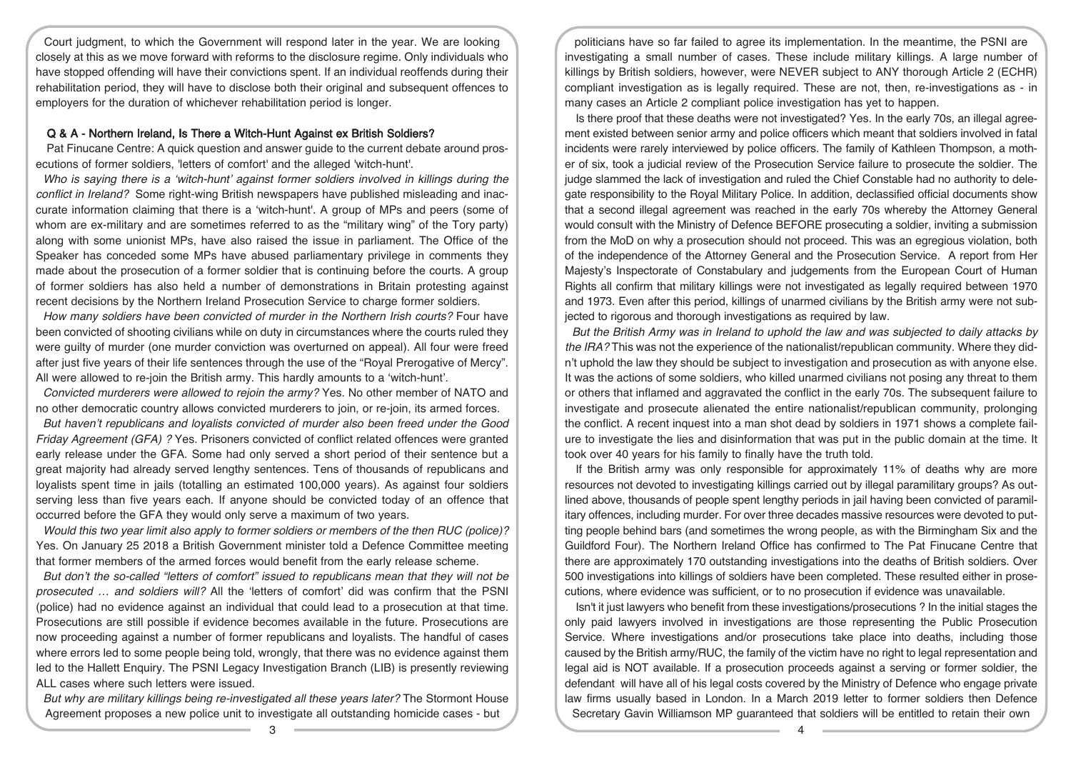Court judgment, to which the Government will respond later in the year. We are looking closely at this as we move forward with reforms to the disclosure regime. Only individuals who have stopped offending will have their convictions spent. If an individual reoffends during their rehabilitation period, they will have to disclose both their original and subsequent offences to employers for the duration of whichever rehabilitation period is longer.

### Q & A - Northern Ireland, Is There a Witch-Hunt Against ex British Soldiers?

Pat Finucane Centre: A quick question and answer guide to the current debate around prosecutions of former soldiers, 'letters of comfort' and the alleged 'witch-hunt'.

*Who is saying there is a 'witch-hunt' against former soldiers involved in killings during the conflict in Ireland?* Some right-wing British newspapers have published misleading and inaccurate information claiming that there is a 'witch-hunt'. A group of MPs and peers (some of whom are ex-military and are sometimes referred to as the "military wing" of the Tory party) along with some unionist MPs, have also raised the issue in parliament. The Office of the Speaker has conceded some MPs have abused parliamentary privilege in comments they made about the prosecution of a former soldier that is continuing before the courts. A group of former soldiers has also held a number of demonstrations in Britain protesting against recent decisions by the Northern Ireland Prosecution Service to charge former soldiers.

*How many soldiers have been convicted of murder in the Northern Irish courts?* Four have been convicted of shooting civilians while on duty in circumstances where the courts ruled they were guilty of murder (one murder conviction was overturned on appeal). All four were freed after just five years of their life sentences through the use of the "Royal Prerogative of Mercy". All were allowed to re-join the British army. This hardly amounts to a 'witch-hunt'.

*Convicted murderers were allowed to rejoin the army?* Yes. No other member of NATO and no other democratic country allows convicted murderers to join, or re-join, its armed forces.

*But haven't republicans and loyalists convicted of murder also been freed under the Good Friday Agreement (GFA) ?* Yes. Prisoners convicted of conflict related offences were granted early release under the GFA. Some had only served a short period of their sentence but a great majority had already served lengthy sentences. Tens of thousands of republicans and loyalists spent time in jails (totalling an estimated 100,000 years). As against four soldiers serving less than five years each. If anyone should be convicted today of an offence that occurred before the GFA they would only serve a maximum of two years.

*Would this two year limit also apply to former soldiers or members of the then RUC (police)?* Yes. On January 25 2018 a British Government minister told a Defence Committee meeting that former members of the armed forces would benefit from the early release scheme.

*But don't the so-called "letters of comfort" issued to republicans mean that they will not be prosecuted … and soldiers will?* All the 'letters of comfort' did was confirm that the PSNI (police) had no evidence against an individual that could lead to a prosecution at that time. Prosecutions are still possible if evidence becomes available in the future. Prosecutions are now proceeding against a number of former republicans and loyalists. The handful of cases where errors led to some people being told, wrongly, that there was no evidence against them led to the Hallett Enquiry. The PSNI Legacy Investigation Branch (LIB) is presently reviewing ALL cases where such letters were issued.

*But why are military killings being re-investigated all these years later?* The Stormont House Agreement proposes a new police unit to investigate all outstanding homicide cases - but

politicians have so far failed to agree its implementation. In the meantime, the PSNI are investigating a small number of cases. These include military killings. A large number of killings by British soldiers, however, were NEVER subject to ANY thorough Article 2 (ECHR) compliant investigation as is legally required. These are not, then, re-investigations as - in many cases an Article 2 compliant police investigation has yet to happen.

Is there proof that these deaths were not investigated? Yes. In the early 70s, an illegal agreement existed between senior army and police officers which meant that soldiers involved in fatal incidents were rarely interviewed by police officers. The family of Kathleen Thompson, a mother of six, took a judicial review of the Prosecution Service failure to prosecute the soldier. The judge slammed the lack of investigation and ruled the Chief Constable had no authority to delegate responsibility to the Royal Military Police. In addition, declassified official documents show that a second illegal agreement was reached in the early 70s whereby the Attorney General would consult with the Ministry of Defence BEFORE prosecuting a soldier, inviting a submission from the MoD on why a prosecution should not proceed. This was an egregious violation, both of the independence of the Attorney General and the Prosecution Service. A report from Her Majesty's Inspectorate of Constabulary and judgements from the European Court of Human Rights all confirm that military killings were not investigated as legally required between 1970 and 1973. Even after this period, killings of unarmed civilians by the British army were not subjected to rigorous and thorough investigations as required by law.

*But the British Army was in Ireland to uphold the law and was subjected to daily attacks by the IRA?* This was not the experience of the nationalist/republican community. Where they didn't uphold the law they should be subject to investigation and prosecution as with anyone else. It was the actions of some soldiers, who killed unarmed civilians not posing any threat to them or others that inflamed and aggravated the conflict in the early 70s. The subsequent failure to investigate and prosecute alienated the entire nationalist/republican community, prolonging the conflict. A recent inquest into a man shot dead by soldiers in 1971 shows a complete failure to investigate the lies and disinformation that was put in the public domain at the time. It took over 40 years for his family to finally have the truth told.

If the British army was only responsible for approximately 11% of deaths why are more resources not devoted to investigating killings carried out by illegal paramilitary groups? As outlined above, thousands of people spent lengthy periods in jail having been convicted of paramilitary offences, including murder. For over three decades massive resources were devoted to putting people behind bars (and sometimes the wrong people, as with the Birmingham Six and the Guildford Four). The Northern Ireland Office has confirmed to The Pat Finucane Centre that there are approximately 170 outstanding investigations into the deaths of British soldiers. Over 500 investigations into killings of soldiers have been completed. These resulted either in prosecutions, where evidence was sufficient, or to no prosecution if evidence was unavailable.

Isn't it just lawyers who benefit from these investigations/prosecutions ? In the initial stages the only paid lawyers involved in investigations are those representing the Public Prosecution Service. Where investigations and/or prosecutions take place into deaths, including those caused by the British army/RUC, the family of the victim have no right to legal representation and legal aid is NOT available. If a prosecution proceeds against a serving or former soldier, the defendant will have all of his legal costs covered by the Ministry of Defence who engage private law firms usually based in London. In a March 2019 letter to former soldiers then Defence Secretary Gavin Williamson MP guaranteed that soldiers will be entitled to retain their own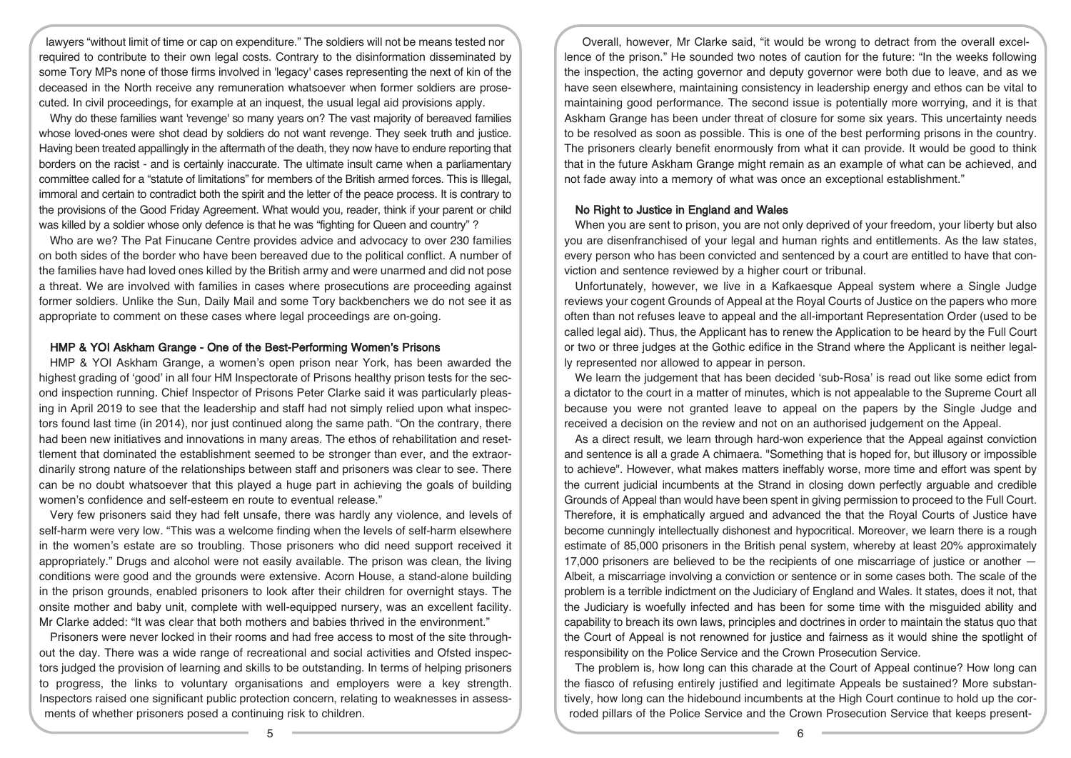lawyers "without limit of time or cap on expenditure." The soldiers will not be means tested nor required to contribute to their own legal costs. Contrary to the disinformation disseminated by some Tory MPs none of those firms involved in 'legacy' cases representing the next of kin of the deceased in the North receive any remuneration whatsoever when former soldiers are prosecuted. In civil proceedings, for example at an inquest, the usual legal aid provisions apply.

Why do these families want 'revenge' so many years on? The vast majority of bereaved families whose loved-ones were shot dead by soldiers do not want revenge. They seek truth and justice. Having been treated appallingly in the aftermath of the death, they now have to endure reporting that borders on the racist - and is certainly inaccurate. The ultimate insult came when a parliamentary committee called for a "statute of limitations" for members of the British armed forces. This is Illegal, immoral and certain to contradict both the spirit and the letter of the peace process. It is contrary to the provisions of the Good Friday Agreement. What would you, reader, think if your parent or child was killed by a soldier whose only defence is that he was "fighting for Queen and country" ?

Who are we? The Pat Finucane Centre provides advice and advocacy to over 230 families on both sides of the border who have been bereaved due to the political conflict. A number of the families have had loved ones killed by the British army and were unarmed and did not pose a threat. We are involved with families in cases where prosecutions are proceeding against former soldiers. Unlike the Sun, Daily Mail and some Tory backbenchers we do not see it as appropriate to comment on these cases where legal proceedings are on-going.

# HMP & YOI Askham Grange - One of the Best-Performing Women's Prisons

HMP & YOI Askham Grange, a women's open prison near York, has been awarded the highest grading of 'good' in all four HM Inspectorate of Prisons healthy prison tests for the second inspection running. Chief Inspector of Prisons Peter Clarke said it was particularly pleasing in April 2019 to see that the leadership and staff had not simply relied upon what inspectors found last time (in 2014), nor just continued along the same path. "On the contrary, there had been new initiatives and innovations in many areas. The ethos of rehabilitation and resettlement that dominated the establishment seemed to be stronger than ever, and the extraordinarily strong nature of the relationships between staff and prisoners was clear to see. There can be no doubt whatsoever that this played a huge part in achieving the goals of building women's confidence and self-esteem en route to eventual release."

Very few prisoners said they had felt unsafe, there was hardly any violence, and levels of self-harm were very low. "This was a welcome finding when the levels of self-harm elsewhere in the women's estate are so troubling. Those prisoners who did need support received it appropriately." Drugs and alcohol were not easily available. The prison was clean, the living conditions were good and the grounds were extensive. Acorn House, a stand-alone building in the prison grounds, enabled prisoners to look after their children for overnight stays. The onsite mother and baby unit, complete with well-equipped nursery, was an excellent facility. Mr Clarke added: "It was clear that both mothers and babies thrived in the environment."

Prisoners were never locked in their rooms and had free access to most of the site throughout the day. There was a wide range of recreational and social activities and Ofsted inspectors judged the provision of learning and skills to be outstanding. In terms of helping prisoners to progress, the links to voluntary organisations and employers were a key strength. Inspectors raised one significant public protection concern, relating to weaknesses in assessments of whether prisoners posed a continuing risk to children.

Overall, however, Mr Clarke said, "it would be wrong to detract from the overall excellence of the prison." He sounded two notes of caution for the future: "In the weeks following the inspection, the acting governor and deputy governor were both due to leave, and as we have seen elsewhere, maintaining consistency in leadership energy and ethos can be vital to maintaining good performance. The second issue is potentially more worrying, and it is that Askham Grange has been under threat of closure for some six years. This uncertainty needs to be resolved as soon as possible. This is one of the best performing prisons in the country. The prisoners clearly benefit enormously from what it can provide. It would be good to think that in the future Askham Grange might remain as an example of what can be achieved, and not fade away into a memory of what was once an exceptional establishment."

### No Right to Justice in England and Wales

When you are sent to prison, you are not only deprived of your freedom, your liberty but also you are disenfranchised of your legal and human rights and entitlements. As the law states, every person who has been convicted and sentenced by a court are entitled to have that conviction and sentence reviewed by a higher court or tribunal.

Unfortunately, however, we live in a Kafkaesque Appeal system where a Single Judge reviews your cogent Grounds of Appeal at the Royal Courts of Justice on the papers who more often than not refuses leave to appeal and the all-important Representation Order (used to be called legal aid). Thus, the Applicant has to renew the Application to be heard by the Full Court or two or three judges at the Gothic edifice in the Strand where the Applicant is neither legally represented nor allowed to appear in person.

We learn the judgement that has been decided 'sub-Rosa' is read out like some edict from a dictator to the court in a matter of minutes, which is not appealable to the Supreme Court all because you were not granted leave to appeal on the papers by the Single Judge and received a decision on the review and not on an authorised judgement on the Appeal.

As a direct result, we learn through hard-won experience that the Appeal against conviction and sentence is all a grade A chimaera. "Something that is hoped for, but illusory or impossible to achieve". However, what makes matters ineffably worse, more time and effort was spent by the current judicial incumbents at the Strand in closing down perfectly arguable and credible Grounds of Appeal than would have been spent in giving permission to proceed to the Full Court. Therefore, it is emphatically argued and advanced the that the Royal Courts of Justice have become cunningly intellectually dishonest and hypocritical. Moreover, we learn there is a rough estimate of 85,000 prisoners in the British penal system, whereby at least 20% approximately 17,000 prisoners are believed to be the recipients of one miscarriage of justice or another — Albeit, a miscarriage involving a conviction or sentence or in some cases both. The scale of the problem is a terrible indictment on the Judiciary of England and Wales. It states, does it not, that the Judiciary is woefully infected and has been for some time with the misguided ability and capability to breach its own laws, principles and doctrines in order to maintain the status quo that the Court of Appeal is not renowned for justice and fairness as it would shine the spotlight of responsibility on the Police Service and the Crown Prosecution Service.

The problem is, how long can this charade at the Court of Appeal continue? How long can the fiasco of refusing entirely justified and legitimate Appeals be sustained? More substantively, how long can the hidebound incumbents at the High Court continue to hold up the corroded pillars of the Police Service and the Crown Prosecution Service that keeps present-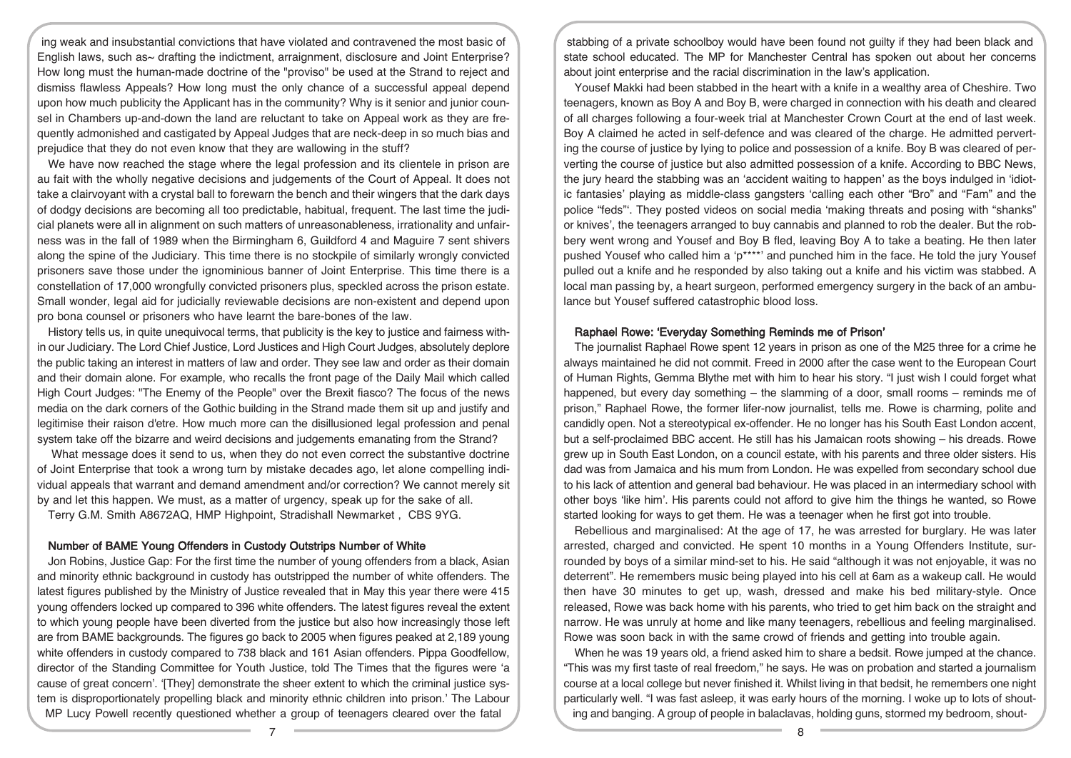ing weak and insubstantial convictions that have violated and contravened the most basic of English laws, such as~ drafting the indictment, arraignment, disclosure and Joint Enterprise? How long must the human-made doctrine of the "proviso" be used at the Strand to reject and dismiss flawless Appeals? How long must the only chance of a successful appeal depend upon how much publicity the Applicant has in the community? Why is it senior and junior counsel in Chambers up-and-down the land are reluctant to take on Appeal work as they are frequently admonished and castigated by Appeal Judges that are neck-deep in so much bias and prejudice that they do not even know that they are wallowing in the stuff?

We have now reached the stage where the legal profession and its clientele in prison are au fait with the wholly negative decisions and judgements of the Court of Appeal. It does not take a clairvoyant with a crystal ball to forewarn the bench and their wingers that the dark days of dodgy decisions are becoming all too predictable, habitual, frequent. The last time the judicial planets were all in alignment on such matters of unreasonableness, irrationality and unfairness was in the fall of 1989 when the Birmingham 6, Guildford 4 and Maguire 7 sent shivers along the spine of the Judiciary. This time there is no stockpile of similarly wrongly convicted prisoners save those under the ignominious banner of Joint Enterprise. This time there is a constellation of 17,000 wrongfully convicted prisoners plus, speckled across the prison estate. Small wonder, legal aid for judicially reviewable decisions are non-existent and depend upon pro bona counsel or prisoners who have learnt the bare-bones of the law.

History tells us, in quite unequivocal terms, that publicity is the key to justice and fairness within our Judiciary. The Lord Chief Justice, Lord Justices and High Court Judges, absolutely deplore the public taking an interest in matters of law and order. They see law and order as their domain and their domain alone. For example, who recalls the front page of the Daily Mail which called High Court Judges: "The Enemy of the People" over the Brexit fiasco? The focus of the news media on the dark corners of the Gothic building in the Strand made them sit up and justify and legitimise their raison d'etre. How much more can the disillusioned legal profession and penal system take off the bizarre and weird decisions and judgements emanating from the Strand?

What message does it send to us, when they do not even correct the substantive doctrine of Joint Enterprise that took a wrong turn by mistake decades ago, let alone compelling individual appeals that warrant and demand amendment and/or correction? We cannot merely sit by and let this happen. We must, as a matter of urgency, speak up for the sake of all. Terry G.M. Smith A8672AQ, HMP Highpoint, Stradishall Newmarket , CBS 9YG.

# Number of BAME Young Offenders in Custody Outstrips Number of White

Jon Robins, Justice Gap: For the first time the number of young offenders from a black, Asian and minority ethnic background in custody has outstripped the number of white offenders. The latest figures published by the Ministry of Justice revealed that in May this year there were 415 young offenders locked up compared to 396 white offenders. The latest figures reveal the extent to which young people have been diverted from the justice but also how increasingly those left are from BAME backgrounds. The figures go back to 2005 when figures peaked at 2,189 young white offenders in custody compared to 738 black and 161 Asian offenders. Pippa Goodfellow, director of the Standing Committee for Youth Justice, told The Times that the figures were 'a cause of great concern'. '[They] demonstrate the sheer extent to which the criminal justice system is disproportionately propelling black and minority ethnic children into prison.' The Labour MP Lucy Powell recently questioned whether a group of teenagers cleared over the fatal

stabbing of a private schoolboy would have been found not guilty if they had been black and state school educated. The MP for Manchester Central has spoken out about her concerns about joint enterprise and the racial discrimination in the law's application.

Yousef Makki had been stabbed in the heart with a knife in a wealthy area of Cheshire. Two teenagers, known as Boy A and Boy B, were charged in connection with his death and cleared of all charges following a four-week trial at Manchester Crown Court at the end of last week. Boy A claimed he acted in self-defence and was cleared of the charge. He admitted perverting the course of justice by lying to police and possession of a knife. Boy B was cleared of perverting the course of justice but also admitted possession of a knife. According to BBC News, the jury heard the stabbing was an 'accident waiting to happen' as the boys indulged in 'idiotic fantasies' playing as middle-class gangsters 'calling each other "Bro" and "Fam" and the police "feds"'. They posted videos on social media 'making threats and posing with "shanks" or knives', the teenagers arranged to buy cannabis and planned to rob the dealer. But the robbery went wrong and Yousef and Boy B fled, leaving Boy A to take a beating. He then later pushed Yousef who called him a 'p\*\*\*\*' and punched him in the face. He told the jury Yousef pulled out a knife and he responded by also taking out a knife and his victim was stabbed. A local man passing by, a heart surgeon, performed emergency surgery in the back of an ambulance but Yousef suffered catastrophic blood loss.

# Raphael Rowe: 'Everyday Something Reminds me of Prison'

The journalist Raphael Rowe spent 12 years in prison as one of the M25 three for a crime he always maintained he did not commit. Freed in 2000 after the case went to the European Court of Human Rights, Gemma Blythe met with him to hear his story. "I just wish I could forget what happened, but every day something – the slamming of a door, small rooms – reminds me of prison," Raphael Rowe, the former lifer-now journalist, tells me. Rowe is charming, polite and candidly open. Not a stereotypical ex-offender. He no longer has his South East London accent, but a self-proclaimed BBC accent. He still has his Jamaican roots showing – his dreads. Rowe grew up in South East London, on a council estate, with his parents and three older sisters. His dad was from Jamaica and his mum from London. He was expelled from secondary school due to his lack of attention and general bad behaviour. He was placed in an intermediary school with other boys 'like him'. His parents could not afford to give him the things he wanted, so Rowe started looking for ways to get them. He was a teenager when he first got into trouble.

Rebellious and marginalised: At the age of 17, he was arrested for burglary. He was later arrested, charged and convicted. He spent 10 months in a Young Offenders Institute, surrounded by boys of a similar mind-set to his. He said "although it was not enjoyable, it was no deterrent". He remembers music being played into his cell at 6am as a wakeup call. He would then have 30 minutes to get up, wash, dressed and make his bed military-style. Once released, Rowe was back home with his parents, who tried to get him back on the straight and narrow. He was unruly at home and like many teenagers, rebellious and feeling marginalised. Rowe was soon back in with the same crowd of friends and getting into trouble again.

When he was 19 years old, a friend asked him to share a bedsit. Rowe jumped at the chance. "This was my first taste of real freedom," he says. He was on probation and started a journalism course at a local college but never finished it. Whilst living in that bedsit, he remembers one night particularly well. "I was fast asleep, it was early hours of the morning. I woke up to lots of shouting and banging. A group of people in balaclavas, holding guns, stormed my bedroom, shout-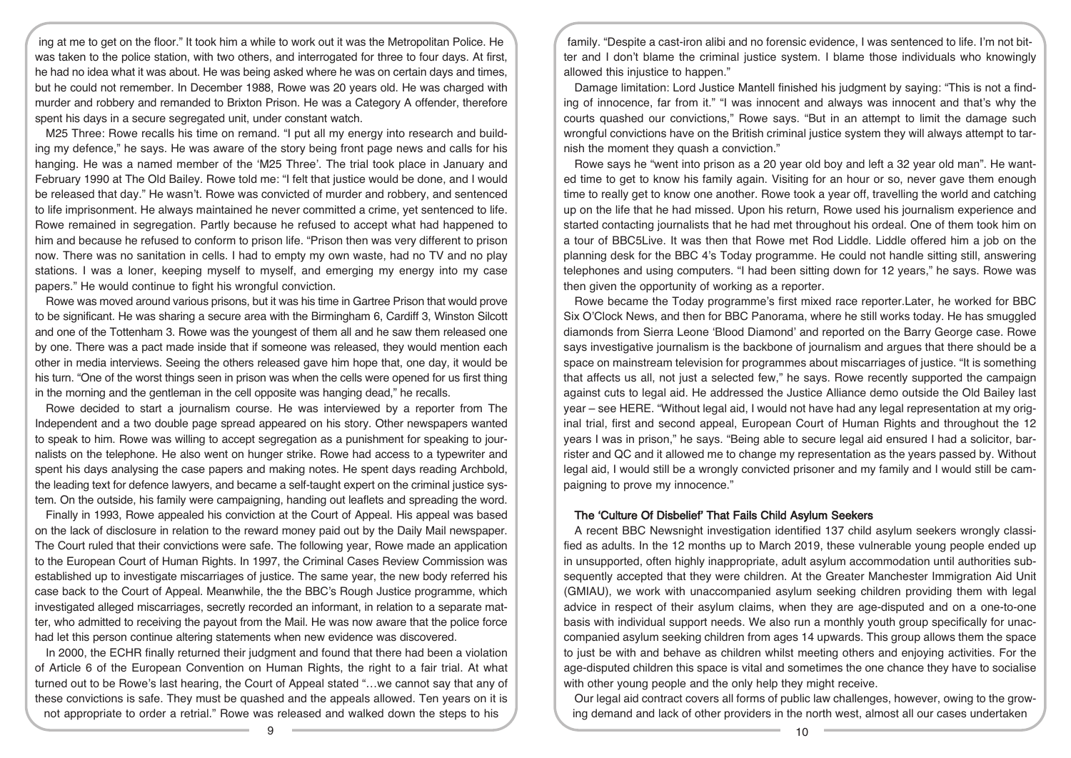ing at me to get on the floor." It took him a while to work out it was the Metropolitan Police. He was taken to the police station, with two others, and interrogated for three to four days. At first, he had no idea what it was about. He was being asked where he was on certain days and times, but he could not remember. In December 1988, Rowe was 20 years old. He was charged with murder and robbery and remanded to Brixton Prison. He was a Category A offender, therefore spent his days in a secure segregated unit, under constant watch.

M25 Three: Rowe recalls his time on remand. "I put all my energy into research and building my defence," he says. He was aware of the story being front page news and calls for his hanging. He was a named member of the 'M25 Three'. The trial took place in January and February 1990 at The Old Bailey. Rowe told me: "I felt that justice would be done, and I would be released that day." He wasn't. Rowe was convicted of murder and robbery, and sentenced to life imprisonment. He always maintained he never committed a crime, yet sentenced to life. Rowe remained in segregation. Partly because he refused to accept what had happened to him and because he refused to conform to prison life. "Prison then was very different to prison now. There was no sanitation in cells. I had to empty my own waste, had no TV and no play stations. I was a loner, keeping myself to myself, and emerging my energy into my case papers." He would continue to fight his wrongful conviction.

Rowe was moved around various prisons, but it was his time in Gartree Prison that would prove to be significant. He was sharing a secure area with the Birmingham 6, Cardiff 3, Winston Silcott and one of the Tottenham 3. Rowe was the youngest of them all and he saw them released one by one. There was a pact made inside that if someone was released, they would mention each other in media interviews. Seeing the others released gave him hope that, one day, it would be his turn. "One of the worst things seen in prison was when the cells were opened for us first thing in the morning and the gentleman in the cell opposite was hanging dead," he recalls.

Rowe decided to start a journalism course. He was interviewed by a reporter from The Independent and a two double page spread appeared on his story. Other newspapers wanted to speak to him. Rowe was willing to accept segregation as a punishment for speaking to journalists on the telephone. He also went on hunger strike. Rowe had access to a typewriter and spent his days analysing the case papers and making notes. He spent days reading Archbold, the leading text for defence lawyers, and became a self-taught expert on the criminal justice system. On the outside, his family were campaigning, handing out leaflets and spreading the word.

Finally in 1993, Rowe appealed his conviction at the Court of Appeal. His appeal was based on the lack of disclosure in relation to the reward money paid out by the Daily Mail newspaper. The Court ruled that their convictions were safe. The following year, Rowe made an application to the European Court of Human Rights. In 1997, the Criminal Cases Review Commission was established up to investigate miscarriages of justice. The same year, the new body referred his case back to the Court of Appeal. Meanwhile, the the BBC's Rough Justice programme, which investigated alleged miscarriages, secretly recorded an informant, in relation to a separate matter, who admitted to receiving the payout from the Mail. He was now aware that the police force had let this person continue altering statements when new evidence was discovered.

In 2000, the ECHR finally returned their judgment and found that there had been a violation of Article 6 of the European Convention on Human Rights, the right to a fair trial. At what turned out to be Rowe's last hearing, the Court of Appeal stated "…we cannot say that any of these convictions is safe. They must be quashed and the appeals allowed. Ten years on it is not appropriate to order a retrial." Rowe was released and walked down the steps to his

family. "Despite a cast-iron alibi and no forensic evidence, I was sentenced to life. I'm not bitter and I don't blame the criminal justice system. I blame those individuals who knowingly allowed this injustice to happen."

Damage limitation: Lord Justice Mantell finished his judgment by saying: "This is not a finding of innocence, far from it." "I was innocent and always was innocent and that's why the courts quashed our convictions," Rowe says. "But in an attempt to limit the damage such wrongful convictions have on the British criminal justice system they will always attempt to tarnish the moment they quash a conviction."

Rowe says he "went into prison as a 20 year old boy and left a 32 year old man". He wanted time to get to know his family again. Visiting for an hour or so, never gave them enough time to really get to know one another. Rowe took a year off, travelling the world and catching up on the life that he had missed. Upon his return, Rowe used his journalism experience and started contacting journalists that he had met throughout his ordeal. One of them took him on a tour of BBC5Live. It was then that Rowe met Rod Liddle. Liddle offered him a job on the planning desk for the BBC 4's Today programme. He could not handle sitting still, answering telephones and using computers. "I had been sitting down for 12 years," he says. Rowe was then given the opportunity of working as a reporter.

Rowe became the Today programme's first mixed race reporter.Later, he worked for BBC Six O'Clock News, and then for BBC Panorama, where he still works today. He has smuggled diamonds from Sierra Leone 'Blood Diamond' and reported on the Barry George case. Rowe says investigative journalism is the backbone of journalism and argues that there should be a space on mainstream television for programmes about miscarriages of justice. "It is something that affects us all, not just a selected few," he says. Rowe recently supported the campaign against cuts to legal aid. He addressed the Justice Alliance demo outside the Old Bailey last year – see HERE. "Without legal aid, I would not have had any legal representation at my original trial, first and second appeal, European Court of Human Rights and throughout the 12 years I was in prison," he says. "Being able to secure legal aid ensured I had a solicitor, barrister and QC and it allowed me to change my representation as the years passed by. Without legal aid, I would still be a wrongly convicted prisoner and my family and I would still be campaigning to prove my innocence."

# The 'Culture Of Disbelief' That Fails Child Asylum Seekers

A recent BBC Newsnight investigation identified 137 child asylum seekers wrongly classified as adults. In the 12 months up to March 2019, these vulnerable young people ended up in unsupported, often highly inappropriate, adult asylum accommodation until authorities subsequently accepted that they were children. At the Greater Manchester Immigration Aid Unit (GMIAU), we work with unaccompanied asylum seeking children providing them with legal advice in respect of their asylum claims, when they are age-disputed and on a one-to-one basis with individual support needs. We also run a monthly youth group specifically for unaccompanied asylum seeking children from ages 14 upwards. This group allows them the space to just be with and behave as children whilst meeting others and enjoying activities. For the age-disputed children this space is vital and sometimes the one chance they have to socialise with other young people and the only help they might receive.

Our legal aid contract covers all forms of public law challenges, however, owing to the growing demand and lack of other providers in the north west, almost all our cases undertaken